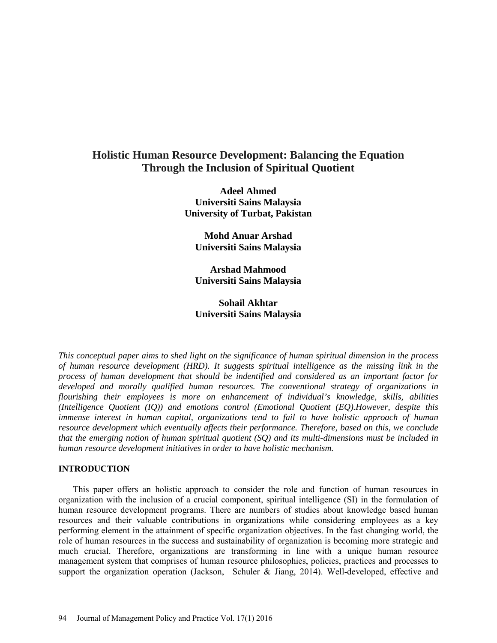# **Holistic Human Resource Development: Balancing the Equation Through the Inclusion of Spiritual Quotient**

**Adeel Ahmed Universiti Sains Malaysia University of Turbat, Pakistan** 

**Mohd Anuar Arshad Universiti Sains Malaysia**

**Arshad Mahmood Universiti Sains Malaysia**

# **Sohail Akhtar Universiti Sains Malaysia**

*This conceptual paper aims to shed light on the significance of human spiritual dimension in the process of human resource development (HRD). It suggests spiritual intelligence as the missing link in the process of human development that should be indentified and considered as an important factor for developed and morally qualified human resources. The conventional strategy of organizations in flourishing their employees is more on enhancement of individual's knowledge, skills, abilities (Intelligence Quotient (IQ)) and emotions control (Emotional Quotient (EQ).However, despite this immense interest in human capital, organizations tend to fail to have holistic approach of human resource development which eventually affects their performance. Therefore, based on this, we conclude that the emerging notion of human spiritual quotient (SQ) and its multi-dimensions must be included in human resource development initiatives in order to have holistic mechanism.*

### **INTRODUCTION**

This paper offers an holistic approach to consider the role and function of human resources in organization with the inclusion of a crucial component, spiritual intelligence (SI) in the formulation of human resource development programs. There are numbers of studies about knowledge based human resources and their valuable contributions in organizations while considering employees as a key performing element in the attainment of specific organization objectives. In the fast changing world, the role of human resources in the success and sustainability of organization is becoming more strategic and much crucial. Therefore, organizations are transforming in line with a unique human resource management system that comprises of human resource philosophies, policies, practices and processes to support the organization operation (Jackson, Schuler & Jiang, 2014). Well-developed, effective and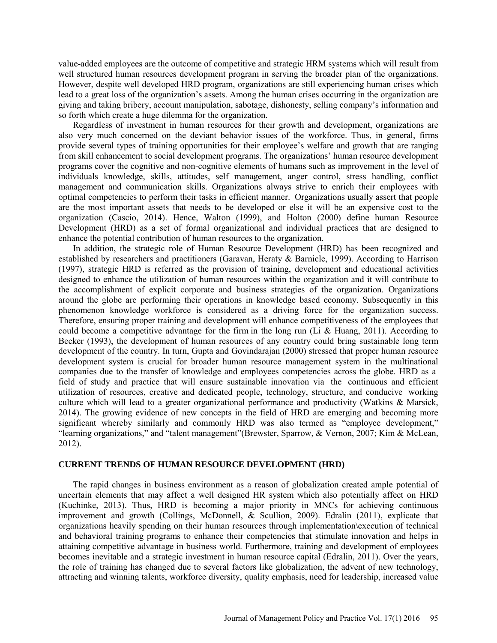value-added employees are the outcome of competitive and strategic HRM systems which will result from well structured human resources development program in serving the broader plan of the organizations. However, despite well developed HRD program, organizations are still experiencing human crises which lead to a great loss of the organization's assets. Among the human crises occurring in the organization are giving and taking bribery, account manipulation, sabotage, dishonesty, selling company's information and so forth which create a huge dilemma for the organization.

Regardless of investment in human resources for their growth and development, organizations are also very much concerned on the deviant behavior issues of the workforce. Thus, in general, firms provide several types of training opportunities for their employee's welfare and growth that are ranging from skill enhancement to social development programs. The organizations' human resource development programs cover the cognitive and non-cognitive elements of humans such as improvement in the level of individuals knowledge, skills, attitudes, self management, anger control, stress handling, conflict management and communication skills. Organizations always strive to enrich their employees with optimal competencies to perform their tasks in efficient manner. Organizations usually assert that people are the most important assets that needs to be developed or else it will be an expensive cost to the organization (Cascio, 2014). Hence, Walton (1999), and Holton (2000) define human Resource Development (HRD) as a set of formal organizational and individual practices that are designed to enhance the potential contribution of human resources to the organization.

In addition, the strategic role of Human Resource Development (HRD) has been recognized and established by researchers and practitioners (Garavan, Heraty & Barnicle, 1999). According to Harrison (1997), strategic HRD is referred as the provision of training, development and educational activities designed to enhance the utilization of human resources within the organization and it will contribute to the accomplishment of explicit corporate and business strategies of the organization. Organizations around the globe are performing their operations in knowledge based economy. Subsequently in this phenomenon knowledge workforce is considered as a driving force for the organization success. Therefore, ensuring proper training and development will enhance competitiveness of the employees that could become a competitive advantage for the firm in the long run (Li & Huang, 2011). According to Becker (1993), the development of human resources of any country could bring sustainable long term development of the country. In turn, Gupta and Govindarajan (2000) stressed that proper human resource development system is crucial for broader human resource management system in the multinational companies due to the transfer of knowledge and employees competencies across the globe. HRD as a field of study and practice that will ensure sustainable innovation via the continuous and efficient utilization of resources, creative and dedicated people, technology, structure, and conducive working culture which will lead to a greater organizational performance and productivity (Watkins & Marsick, 2014). The growing evidence of new concepts in the field of HRD are emerging and becoming more significant whereby similarly and commonly HRD was also termed as "employee development," "learning organizations," and "talent management"(Brewster, Sparrow, & Vernon, 2007; Kim & McLean, 2012).

# **CURRENT TRENDS OF HUMAN RESOURCE DEVELOPMENT (HRD)**

The rapid changes in business environment as a reason of globalization created ample potential of uncertain elements that may affect a well designed HR system which also potentially affect on HRD (Kuchinke, 2013). Thus, HRD is becoming a major priority in MNCs for achieving continuous improvement and growth (Collings, McDonnell, & Scullion, 2009). Edralin (2011), explicate that organizations heavily spending on their human resources through implementation\execution of technical and behavioral training programs to enhance their competencies that stimulate innovation and helps in attaining competitive advantage in business world. Furthermore, training and development of employees becomes inevitable and a strategic investment in human resource capital (Edralin, 2011). Over the years, the role of training has changed due to several factors like globalization, the advent of new technology, attracting and winning talents, workforce diversity, quality emphasis, need for leadership, increased value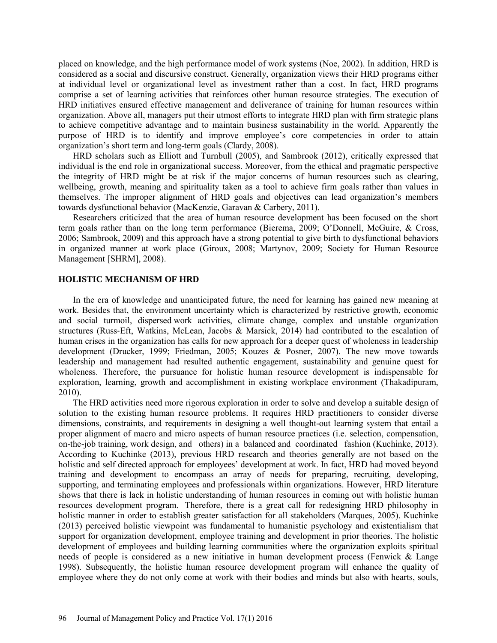placed on knowledge, and the high performance model of work systems (Noe, 2002). In addition, HRD is considered as a social and discursive construct. Generally, organization views their HRD programs either at individual level or organizational level as investment rather than a cost. In fact, HRD programs comprise a set of learning activities that reinforces other human resource strategies. The execution of HRD initiatives ensured effective management and deliverance of training for human resources within organization. Above all, managers put their utmost efforts to integrate HRD plan with firm strategic plans to achieve competitive advantage and to maintain business sustainability in the world. Apparently the purpose of HRD is to identify and improve employee's core competencies in order to attain organization's short term and long-term goals (Clardy, 2008).

HRD scholars such as Elliott and Turnbull (2005), and Sambrook (2012), critically expressed that individual is the end role in organizational success. Moreover, from the ethical and pragmatic perspective the integrity of HRD might be at risk if the major concerns of human resources such as clearing, wellbeing, growth, meaning and spirituality taken as a tool to achieve firm goals rather than values in themselves. The improper alignment of HRD goals and objectives can lead organization's members towards dysfunctional behavior (MacKenzie, Garavan & Carbery, 2011).

Researchers criticized that the area of human resource development has been focused on the short term goals rather than on the long term performance (Bierema, 2009; O'Donnell, McGuire, & Cross, 2006; Sambrook, 2009) and this approach have a strong potential to give birth to dysfunctional behaviors in organized manner at work place (Giroux, 2008; Martynov, 2009; Society for Human Resource Management [SHRM], 2008).

### **HOLISTIC MECHANISM OF HRD**

In the era of knowledge and unanticipated future, the need for learning has gained new meaning at work. Besides that, the environment uncertainty which is characterized by restrictive growth, economic and social turmoil, dispersed work activities, climate change, complex and unstable organization structures (Russ-Eft, Watkins, McLean, Jacobs & Marsick, 2014) had contributed to the escalation of human crises in the organization has calls for new approach for a deeper quest of wholeness in leadership development (Drucker, 1999; Friedman, 2005; Kouzes & Posner, 2007). The new move towards leadership and management had resulted authentic engagement, sustainability and genuine quest for wholeness. Therefore, the pursuance for holistic human resource development is indispensable for exploration, learning, growth and accomplishment in existing workplace environment (Thakadipuram, 2010).

The HRD activities need more rigorous exploration in order to solve and develop a suitable design of solution to the existing human resource problems. It requires HRD practitioners to consider diverse dimensions, constraints, and requirements in designing a well thought-out learning system that entail a proper alignment of macro and micro aspects of human resource practices (i.e. selection, compensation, on-the-job training, work design, and others) in a balanced and coordinated fashion (Kuchinke, 2013). According to Kuchinke (2013), previous HRD research and theories generally are not based on the holistic and self directed approach for employees' development at work. In fact, HRD had moved beyond training and development to encompass an array of needs for preparing, recruiting, developing, supporting, and terminating employees and professionals within organizations. However, HRD literature shows that there is lack in holistic understanding of human resources in coming out with holistic human resources development program. Therefore, there is a great call for redesigning HRD philosophy in holistic manner in order to establish greater satisfaction for all stakeholders (Marques, 2005). Kuchinke (2013) perceived holistic viewpoint was fundamental to humanistic psychology and existentialism that support for organization development, employee training and development in prior theories. The holistic development of employees and building learning communities where the organization exploits spiritual needs of people is considered as a new initiative in human development process (Fenwick & Lange 1998). Subsequently, the holistic human resource development program will enhance the quality of employee where they do not only come at work with their bodies and minds but also with hearts, souls,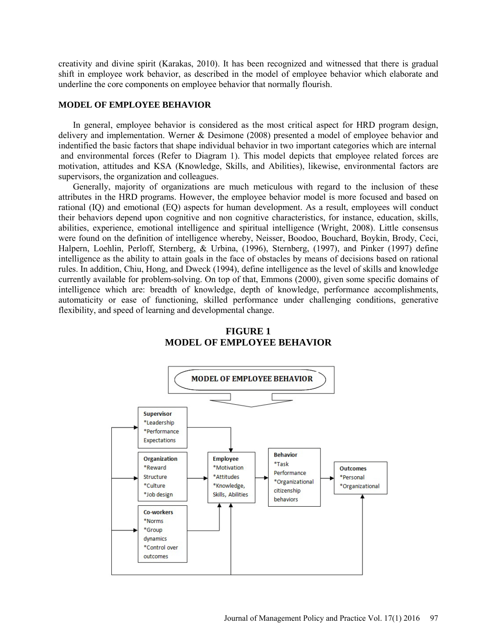creativity and divine spirit (Karakas, 2010). It has been recognized and witnessed that there is gradual shift in employee work behavior, as described in the model of employee behavior which elaborate and underline the core components on employee behavior that normally flourish.

### **MODEL OF EMPLOYEE BEHAVIOR**

In general, employee behavior is considered as the most critical aspect for HRD program design, delivery and implementation. Werner & Desimone (2008) presented a model of employee behavior and indentified the basic factors that shape individual behavior in two important categories which are internal and environmental forces (Refer to Diagram 1). This model depicts that employee related forces are motivation, attitudes and KSA (Knowledge, Skills, and Abilities), likewise, environmental factors are supervisors, the organization and colleagues.

Generally, majority of organizations are much meticulous with regard to the inclusion of these attributes in the HRD programs. However, the employee behavior model is more focused and based on rational (IQ) and emotional (EQ) aspects for human development. As a result, employees will conduct their behaviors depend upon cognitive and non cognitive characteristics, for instance, education, skills, abilities, experience, emotional intelligence and spiritual intelligence (Wright, 2008). Little consensus were found on the definition of intelligence whereby, Neisser, Boodoo, Bouchard, Boykin, Brody, Ceci, Halpern, Loehlin, Perloff, Sternberg, & Urbina, (1996), Sternberg, (1997), and Pinker (1997) define intelligence as the ability to attain goals in the face of obstacles by means of decisions based on rational rules. In addition, Chiu, Hong, and Dweck (1994), define intelligence as the level of skills and knowledge currently available for problem-solving. On top of that, Emmons (2000), given some specific domains of intelligence which are: breadth of knowledge, depth of knowledge, performance accomplishments, automaticity or ease of functioning, skilled performance under challenging conditions, generative flexibility, and speed of learning and developmental change.



# **FIGURE 1 MODEL OF EMPLOYEE BEHAVIOR**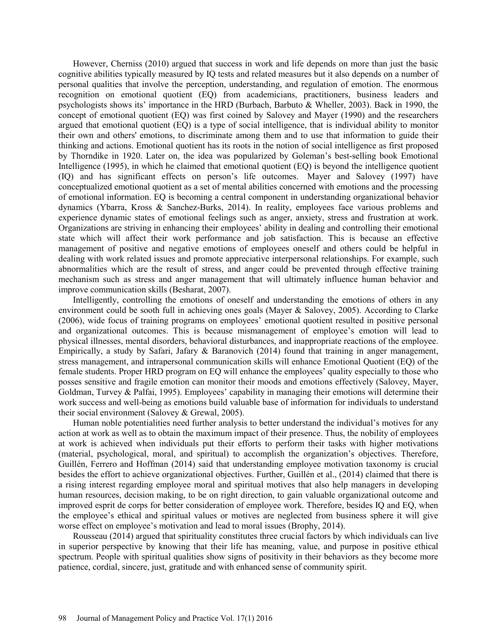However, Cherniss (2010) argued that success in work and life depends on more than just the basic cognitive abilities typically measured by IQ tests and related measures but it also depends on a number of personal qualities that involve the perception, understanding, and regulation of emotion. The enormous recognition on emotional quotient (EQ) from academicians, practitioners, business leaders and psychologists shows its' importance in the HRD (Burbach, Barbuto & Wheller, 2003). Back in 1990, the concept of emotional quotient (EQ) was first coined by Salovey and Mayer (1990) and the researchers argued that emotional quotient (EQ) is a type of social intelligence, that is individual ability to monitor their own and others' emotions, to discriminate among them and to use that information to guide their thinking and actions. Emotional quotient has its roots in the notion of social intelligence as first proposed by Thorndike in 1920. Later on, the idea was popularized by Goleman's best-selling book Emotional Intelligence (1995), in which he claimed that emotional quotient (EQ) is beyond the intelligence quotient (IQ) and has significant effects on person's life outcomes. Mayer and Salovey (1997) have conceptualized emotional quotient as a set of mental abilities concerned with emotions and the processing of emotional information. EQ is becoming a central component in understanding organizational behavior dynamics (Ybarra, Kross & Sanchez-Burks, 2014). In reality, employees face various problems and experience dynamic states of emotional feelings such as anger, anxiety, stress and frustration at work. Organizations are striving in enhancing their employees' ability in dealing and controlling their emotional state which will affect their work performance and job satisfaction. This is because an effective management of positive and negative emotions of employees oneself and others could be helpful in dealing with work related issues and promote appreciative interpersonal relationships. For example, such abnormalities which are the result of stress, and anger could be prevented through effective training mechanism such as stress and anger management that will ultimately influence human behavior and improve communication skills (Besharat, 2007).

Intelligently, controlling the emotions of oneself and understanding the emotions of others in any environment could be sooth full in achieving ones goals (Mayer & Salovey, 2005). According to Clarke (2006), wide focus of training programs on employees' emotional quotient resulted in positive personal and organizational outcomes. This is because mismanagement of employee's emotion will lead to physical illnesses, mental disorders, behavioral disturbances, and inappropriate reactions of the employee. Empirically, a study by Safari, Jafary & Baranovich (2014) found that training in anger management, stress management, and intrapersonal communication skills will enhance Emotional Quotient (EQ) of the female students. Proper HRD program on EQ will enhance the employees' quality especially to those who posses sensitive and fragile emotion can monitor their moods and emotions effectively (Salovey, Mayer, Goldman, Turvey & Palfai, 1995). Employees' capability in managing their emotions will determine their work success and well-being as emotions build valuable base of information for individuals to understand their social environment (Salovey & Grewal, 2005).

Human noble potentialities need further analysis to better understand the individual's motives for any action at work as well as to obtain the maximum impact of their presence. Thus, the nobility of employees at work is achieved when individuals put their efforts to perform their tasks with higher motivations (material, psychological, moral, and spiritual) to accomplish the organization's objectives. Therefore, Guillén, Ferrero and Hoffman (2014) said that understanding employee motivation taxonomy is crucial besides the effort to achieve organizational objectives. Further, Guillén et al., (2014) claimed that there is a rising interest regarding employee moral and spiritual motives that also help managers in developing human resources, decision making, to be on right direction, to gain valuable organizational outcome and improved esprit de corps for better consideration of employee work. Therefore, besides IQ and EQ, when the employee's ethical and spiritual values or motives are neglected from business sphere it will give worse effect on employee's motivation and lead to moral issues (Brophy, 2014).

Rousseau (2014) argued that spirituality constitutes three crucial factors by which individuals can live in superior perspective by knowing that their life has meaning, value, and purpose in positive ethical spectrum. People with spiritual qualities show signs of positivity in their behaviors as they become more patience, cordial, sincere, just, gratitude and with enhanced sense of community spirit.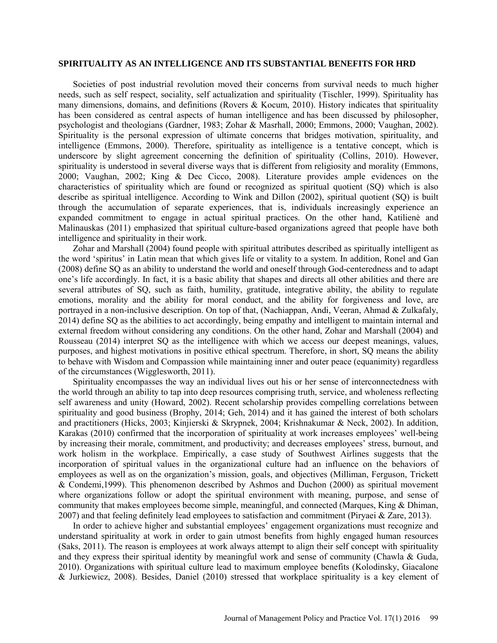#### **SPIRITUALITY AS AN INTELLIGENCE AND ITS SUBSTANTIAL BENEFITS FOR HRD**

Societies of post industrial revolution moved their concerns from survival needs to much higher needs, such as self respect, sociality, self actualization and spirituality (Tischler, 1999). Spirituality has many dimensions, domains, and definitions (Rovers & Kocum, 2010). History indicates that spirituality has been considered as central aspects of human intelligence and has been discussed by philosopher, psychologist and theologians (Gardner, 1983; Zohar & Masrhall, 2000; Emmons, 2000; Vaughan, 2002). Spirituality is the personal expression of ultimate concerns that bridges motivation, spirituality, and intelligence (Emmons, 2000). Therefore, spirituality as intelligence is a tentative concept, which is underscore by slight agreement concerning the definition of spirituality (Collins, 2010). However, spirituality is understood in several diverse ways that is different from religiosity and morality (Emmons, 2000; Vaughan, 2002; King & Dec Cicco, 2008). Literature provides ample evidences on the characteristics of spirituality which are found or recognized as spiritual quotient (SQ) which is also describe as spiritual intelligence. According to Wink and Dillon (2002), spiritual quotient (SQ) is built through the accumulation of separate experiences, that is, individuals increasingly experience an expanded commitment to engage in actual spiritual practices. On the other hand, Katilienė and Malinauskas (2011) emphasized that spiritual culture-based organizations agreed that people have both intelligence and spirituality in their work.

Zohar and Marshall (2004) found people with spiritual attributes described as spiritually intelligent as the word 'spiritus' in Latin mean that which gives life or vitality to a system. In addition, Ronel and Gan (2008) define SQ as an ability to understand the world and oneself through God-centeredness and to adapt one's life accordingly. In fact, it is a basic ability that shapes and directs all other abilities and there are several attributes of SQ, such as faith, humility, gratitude, integrative ability, the ability to regulate emotions, morality and the ability for moral conduct, and the ability for forgiveness and love, are portrayed in a non-inclusive description. On top of that, (Nachiappan, Andi, Veeran, Ahmad & Zulkafaly, 2014) define SQ as the abilities to act accordingly, being empathy and intelligent to maintain internal and external freedom without considering any conditions. On the other hand, Zohar and Marshall (2004) and Rousseau (2014) interpret SQ as the intelligence with which we access our deepest meanings, values, purposes, and highest motivations in positive ethical spectrum. Therefore, in short, SQ means the ability to behave with Wisdom and Compassion while maintaining inner and outer peace (equanimity) regardless of the circumstances (Wigglesworth, 2011).

Spirituality encompasses the way an individual lives out his or her sense of interconnectedness with the world through an ability to tap into deep resources comprising truth, service, and wholeness reflecting self awareness and unity (Howard, 2002). Recent scholarship provides compelling correlations between spirituality and good business (Brophy, 2014; Geh, 2014) and it has gained the interest of both scholars and practitioners (Hicks, 2003; Kinjierski & Skrypnek, 2004; Krishnakumar & Neck, 2002). In addition, Karakas (2010) confirmed that the incorporation of spirituality at work increases employees' well-being by increasing their morale, commitment, and productivity; and decreases employees' stress, burnout, and work holism in the workplace. Empirically, a case study of Southwest Airlines suggests that the incorporation of spiritual values in the organizational culture had an influence on the behaviors of employees as well as on the organization's mission, goals, and objectives (Milliman, Ferguson, Trickett & Condemi,1999). This phenomenon described by Ashmos and Duchon (2000) as spiritual movement where organizations follow or adopt the spiritual environment with meaning, purpose, and sense of community that makes employees become simple, meaningful, and connected (Marques, King & Dhiman, 2007) and that feeling definitely lead employees to satisfaction and commitment (Piryaei & Zare, 2013).

In order to achieve higher and substantial employees' engagement organizations must recognize and understand spirituality at work in order to gain utmost benefits from highly engaged human resources (Saks, 2011). The reason is employees at work always attempt to align their self concept with spirituality and they express their spiritual identity by meaningful work and sense of community (Chawla & Guda, 2010). Organizations with spiritual culture lead to maximum employee benefits (Kolodinsky, Giacalone & Jurkiewicz, 2008). Besides, Daniel (2010) stressed that workplace spirituality is a key element of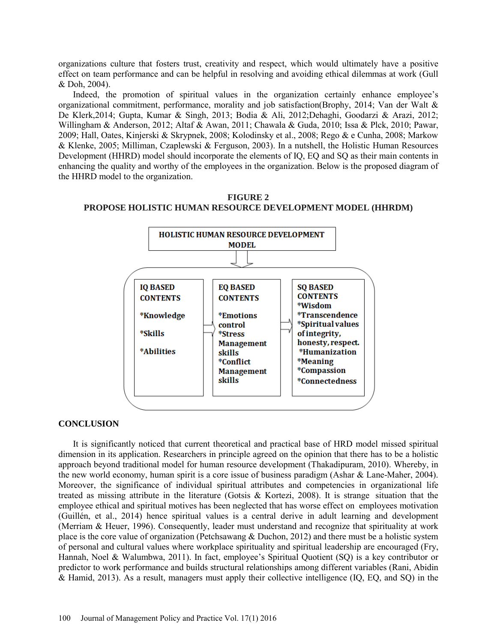organizations culture that fosters trust, creativity and respect, which would ultimately have a positive effect on team performance and can be helpful in resolving and avoiding ethical dilemmas at work (Gull & Doh, 2004).

Indeed, the promotion of spiritual values in the organization certainly enhance employee's organizational commitment, performance, morality and job satisfaction(Brophy, 2014; Van der Walt & De Klerk,2014; Gupta, Kumar & Singh, 2013; Bodia & Ali, 2012;Dehaghi, Goodarzi & Arazi, 2012; Willingham & Anderson, 2012; Altaf & Awan, 2011; Chawala & Guda, 2010; Issa & Plck, 2010; Pawar, 2009; Hall, Oates, Kinjerski & Skrypnek, 2008; Kolodinsky et al., 2008; Rego & e Cunha, 2008; Markow & Klenke, 2005; Milliman, Czaplewski & Ferguson, 2003). In a nutshell, the Holistic Human Resources Development (HHRD) model should incorporate the elements of IQ, EQ and SQ as their main contents in enhancing the quality and worthy of the employees in the organization. Below is the proposed diagram of the HHRD model to the organization.



*\*Emotions* 

control

\*Stress **Management** 

skills

skills

\*Conflict

**Management** 

\*Wisdom

of integrity,

\*Meaning

\*Compassion

*\*Transcendence* 

\*Spiritual values

honesty, respect.

*\*Humanization* 

\*Connectedness

# **FIGURE 2 PROPOSE HOLISTIC HUMAN RESOURCE DEVELOPMENT MODEL (HHRDM)**

### **CONCLUSION**

It is significantly noticed that current theoretical and practical base of HRD model missed spiritual dimension in its application. Researchers in principle agreed on the opinion that there has to be a holistic approach beyond traditional model for human resource development (Thakadipuram, 2010). Whereby, in the new world economy, human spirit is a core issue of business paradigm (Ashar & Lane-Maher, 2004). Moreover, the significance of individual spiritual attributes and competencies in organizational life treated as missing attribute in the literature (Gotsis & Kortezi, 2008). It is strange situation that the employee ethical and spiritual motives has been neglected that has worse effect on employees motivation (Guillén, et al., 2014) hence spiritual values is a central derive in adult learning and development (Merriam & Heuer, 1996). Consequently, leader must understand and recognize that spirituality at work place is the core value of organization (Petchsawang & Duchon, 2012) and there must be a holistic system of personal and cultural values where workplace spirituality and spiritual leadership are encouraged (Fry, Hannah, Noel & Walumbwa, 2011). In fact, employee's Spiritual Quotient (SQ) is a key contributor or predictor to work performance and builds structural relationships among different variables (Rani, Abidin & Hamid, 2013). As a result, managers must apply their collective intelligence (IQ, EQ, and SQ) in the

\*Knowledge

\*Skills

\*Abilities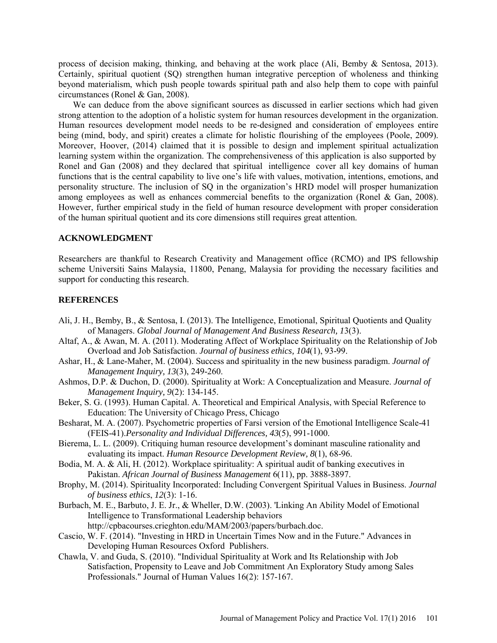process of decision making, thinking, and behaving at the work place (Ali, Bemby & Sentosa, 2013). Certainly, spiritual quotient (SQ) strengthen human integrative perception of wholeness and thinking beyond materialism, which push people towards spiritual path and also help them to cope with painful circumstances (Ronel & Gan, 2008).

We can deduce from the above significant sources as discussed in earlier sections which had given strong attention to the adoption of a holistic system for human resources development in the organization. Human resources development model needs to be re-designed and consideration of employees entire being (mind, body, and spirit) creates a climate for holistic flourishing of the employees (Poole, 2009). Moreover, Hoover, (2014) claimed that it is possible to design and implement spiritual actualization learning system within the organization. The comprehensiveness of this application is also supported by Ronel and Gan (2008) and they declared that spiritual intelligence cover all key domains of human functions that is the central capability to live one's life with values, motivation, intentions, emotions, and personality structure. The inclusion of SQ in the organization's HRD model will prosper humanization among employees as well as enhances commercial benefits to the organization (Ronel & Gan, 2008). However, further empirical study in the field of human resource development with proper consideration of the human spiritual quotient and its core dimensions still requires great attention.

# **ACKNOWLEDGMENT**

Researchers are thankful to Research Creativity and Management office (RCMO) and IPS fellowship scheme Universiti Sains Malaysia, 11800, Penang, Malaysia for providing the necessary facilities and support for conducting this research.

### **REFERENCES**

- Ali, J. H., Bemby, B., & Sentosa, I. (2013). The Intelligence, Emotional, Spiritual Quotients and Quality of Managers. *Global Journal of Management And Business Research, 1*3(3).
- Altaf, A., & Awan, M. A. (2011). Moderating Affect of Workplace Spirituality on the Relationship of Job Overload and Job Satisfaction. *Journal of business ethics, 104*(1), 93-99.
- Ashar, H., & Lane-Maher, M. (2004). Success and spirituality in the new business paradigm. *Journal of Management Inquiry, 13*(3), 249-260.
- Ashmos, D.P. & Duchon, D. (2000). Spirituality at Work: A Conceptualization and Measure. *Journal of Management Inquiry, 9*(2): 134-145.
- Beker, S. G. (1993). Human Capital. A. Theoretical and Empirical Analysis, with Special Reference to Education: The University of Chicago Press, Chicago
- Besharat, M. A. (2007). Psychometric properties of Farsi version of the Emotional Intelligence Scale-41 (FEIS-41).*Personality and Individual Differences, 43*(5), 991-1000.
- Bierema, L. L. (2009). Critiquing human resource development's dominant masculine rationality and evaluating its impact. *Human Resource Development Review, 8*(1), 68-96.
- Bodia, M. A. & Ali, H. (2012). Workplace spirituality: A spiritual audit of banking executives in Pakistan. *African Journal of Business Management* 6(11), pp. 3888-3897.
- Brophy, M. (2014). Spirituality Incorporated: Including Convergent Spiritual Values in Business. *Journal of business ethics*, *12*(3): 1-16.
- Burbach, M. E., Barbuto, J. E. Jr., & Wheller, D.W. (2003). 'Linking An Ability Model of Emotional Intelligence to Transformational Leadership behaviors [http://cpbacourses.crieghton.edu/MAM/2003/papers/burbach.doc.](http://cpbacourses.crieghton.edu/MAM/2003/papers/burbach.doc)
- Cascio, W. F. (2014). "Investing in HRD in Uncertain Times Now and in the Future." Advances in Developing Human Resources Oxford Publishers.
- Chawla, V. and Guda, S. (2010). "Individual Spirituality at Work and Its Relationship with Job Satisfaction, Propensity to Leave and Job Commitment An Exploratory Study among Sales Professionals." Journal of Human Values 16(2): 157-167.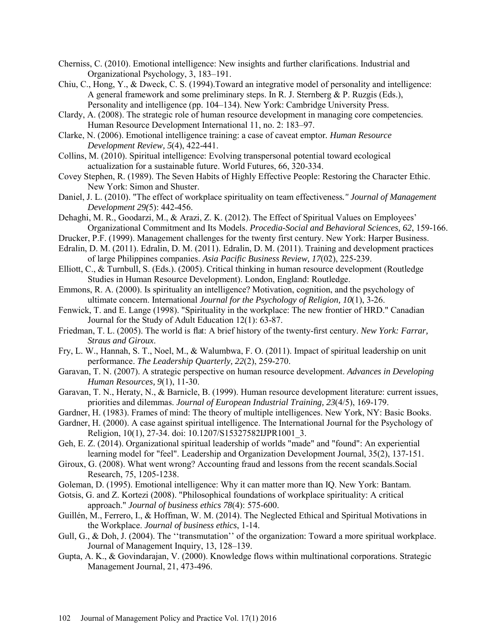- Cherniss, C. (2010). Emotional intelligence: New insights and further clarifications. Industrial and Organizational Psychology, 3, 183–191.
- Chiu, C., Hong, Y., & Dweck, C. S. (1994).Toward an integrative model of personality and intelligence: A general framework and some preliminary steps. In R. J. Sternberg & P. Ruzgis (Eds.), Personality and intelligence (pp. 104–134). New York: Cambridge University Press.
- Clardy, A. (2008). The strategic role of human resource development in managing core competencies. Human Resource Development International 11, no. 2: 183–97.
- Clarke, N. (2006). Emotional intelligence training: a case of caveat emptor*. Human Resource Development Review, 5*(4), 422-441.
- Collins, M. (2010). Spiritual intelligence: Evolving transpersonal potential toward ecological actualization for a sustainable future. World Futures, 66, 320-334.
- Covey Stephen, R. (1989). The Seven Habits of Highly Effective People: Restoring the Character Ethic. New York: Simon and Shuster.
- Daniel, J. L. (2010). "The effect of workplace spirituality on team effectiveness*." Journal of Management Development 29(*5): 442-456.
- Dehaghi, M. R., Goodarzi, M., & Arazi, Z. K. (2012). The Effect of Spiritual Values on Employees' Organizational Commitment and Its Models. *Procedia-Social and Behavioral Sciences, 62*, 159-166.
- Drucker, P.F. (1999). Management challenges for the twenty first century. New York: Harper Business.
- Edralin, D. M. (2011). Edralin, D. M. (2011). Edralin, D. M. (2011). Training and development practices of large Philippines companies. *Asia Pacific Business Review, 17*(02), 225-239.
- Elliott, C., & Turnbull, S. (Eds.). (2005). Critical thinking in human resource development (Routledge Studies in Human Resource Development). London, England: Routledge.
- Emmons, R. A. (2000). Is spirituality an intelligence? Motivation, cognition, and the psychology of ultimate concern. International *Journal for the Psychology of Religion, 10*(1), 3-26.
- Fenwick, T. and E. Lange (1998). "Spirituality in the workplace: The new frontier of HRD." Canadian Journal for the Study of Adult Education 12(1): 63-87.
- Friedman, T. L. (2005). The world is flat: A brief history of the twenty-first century. *New York: Farrar, Straus and Giroux*.
- Fry, L. W., Hannah, S. T., Noel, M., & Walumbwa, F. O. (2011). Impact of spiritual leadership on unit performance. *The Leadership Quarterly, 22*(2), 259-270.
- Garavan, T. N. (2007). A strategic perspective on human resource development. *Advances in Developing Human Resources, 9*(1), 11-30.
- Garavan, T. N., Heraty, N., & Barnicle, B. (1999). Human resource development literature: current issues, priorities and dilemmas. *Journal of European Industrial Training, 23*(4/5), 169-179.
- Gardner, H. (1983). Frames of mind: The theory of multiple intelligences. New York, NY: Basic Books.
- Gardner, H. (2000). A case against spiritual intelligence. The International Journal for the Psychology of Religion, 10(1), 27-34. doi: 10.1207/S15327582IJPR1001\_3.
- Geh, E. Z. (2014). Organizational spiritual leadership of worlds "made" and "found": An experiential learning model for "feel". Leadership and Organization Development Journal, 35(2), 137-151.
- Giroux, G. (2008). What went wrong? Accounting fraud and lessons from the recent scandals.Social Research, 75, 1205-1238.
- Goleman, D. (1995). Emotional intelligence: Why it can matter more than IQ. New York: Bantam.
- Gotsis, G. and Z. Kortezi (2008). "Philosophical foundations of workplace spirituality: A critical approach." *Journal of business ethics 78*(4): 575-600.
- Guillén, M., Ferrero, I., & Hoffman, W. M. (2014). The Neglected Ethical and Spiritual Motivations in the Workplace. *Journal of business ethics*, 1-14.
- Gull, G., & Doh, J. (2004). The "transmutation" of the organization: Toward a more spiritual workplace. Journal of Management Inquiry, 13, 128–139.
- Gupta, A. K., & Govindarajan, V. (2000). Knowledge flows within multinational corporations. Strategic Management Journal, 21, 473-496.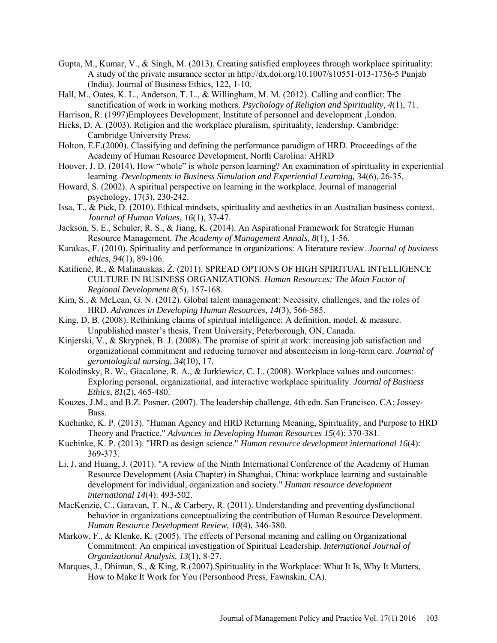- Gupta, M., Kumar, V., & Singh, M. (2013). Creating satisfied employees through workplace spirituality: A study of the private insurance sector in<http://dx.doi.org/10.1007/s10551-013-1756-5>Punjab (India). Journal of Business Ethics, 122, 1-10.
- Hall, M., Oates, K. L., Anderson, T. L., & Willingham, M. M. (2012). Calling and conflict: The sanctification of work in working mothers. *Psychology of Religion and Spirituality, 4*(1), 71.
- Harrison, R. (1997)Employees Development, Institute of personnel and development ,London.
- Hicks, D. A. (2003). Religion and the workplace pluralism, spirituality, leadership. Cambridge: Cambridge University Press.
- Holton, E.F.(2000). Classifying and defining the performance paradigm of HRD. Proceedings of the Academy of Human Resource Development, North Carolina: AHRD
- Hoover, J. D. (2014). How "whole" is whole person learning? An examination of spirituality in experiential learning. *Developments in Business Simulation and Experiential Learning, 34*(6), 26-35,
- Howard, S. (2002). A spiritual perspective on learning in the workplace. Journal of managerial psychology, 17(3), 230-242.
- Issa, T., & Pick, D. (2010). Ethical mindsets, spirituality and aesthetics in an Australian business context. *Journal of Human Values, 16*(1), 37-47.
- Jackson, S. E., Schuler, R. S., & Jiang, K. (2014). An Aspirational Framework for Strategic Human Resource Management. *The Academy of Management Annals, 8*(1), 1-56.
- Karakas, F. (2010). Spirituality and performance in organizations: A literature review. *Journal of business ethics, 94*(1), 89-106.
- Katilienė, R., & Malinauskas, Ž. (2011). SPREAD OPTIONS OF HIGH SPIRITUAL INTELLIGENCE CULTURE IN BUSINESS ORGANIZATIONS. *Human Resources: The Main Factor of Regional Development 8*(5), 157-168.
- Kim, S., & McLean, G. N. (2012). Global talent management: Necessity, challenges, and the roles of HRD. *Advances in Developing Human Resources, 14*(3), 566-585.
- King, D. B. (2008). Rethinking claims of spiritual intelligence: A definition, model, & measure. Unpublished master's thesis, Trent University, Peterborough, ON, Canada.
- Kinjerski, V., & Skrypnek, B. J. (2008). The promise of spirit at work: increasing job satisfaction and organizational commitment and reducing turnover and absenteeism in long-term care. *Journal of gerontological nursing, 34*(10), 17.
- Kolodinsky, R. W., Giacalone, R. A., & Jurkiewicz, C. L. (2008). Workplace values and outcomes: Exploring personal, organizational, and interactive workplace spirituality. *Journal of Business Ethics, 81*(2), 465-480.
- Kouzes, J.M., and B.Z. Posner. (2007). The leadership challenge. 4th edn. San Francisco, CA: Jossey-Bass.
- Kuchinke, K. P. (2013). "Human Agency and HRD Returning Meaning, Spirituality, and Purpose to HRD Theory and Practice." *Advances in Developing Human Resources 15*(4): 370-381.
- Kuchinke, K. P. (2013). "HRD as design science." *Human resource development international 16*(4): 369-373.
- Li, J. and Huang, J. (2011). "A review of the Ninth International Conference of the Academy of Human Resource Development (Asia Chapter) in Shanghai, China: workplace learning and sustainable development for individual, organization and society." *Human resource development international 14*(4): 493-502.
- MacKenzie, C., Garavan, T. N., & Carbery, R. (2011). Understanding and preventing dysfunctional behavior in organizations conceptualizing the contribution of Human Resource Development. *Human Resource Development Review, 10*(4), 346-380.
- Markow, F., & Klenke, K. (2005). The effects of Personal meaning and calling on Organizational Commitment: An empirical investigation of Spiritual Leadership. *International Journal of Organizational Analysis, 13*(1), 8-27.
- Marques, J., Dhiman, S., & King, R.(2007).Spirituality in the Workplace: What It Is, Why It Matters, How to Make It Work for You (Personhood Press, Fawnskin, CA).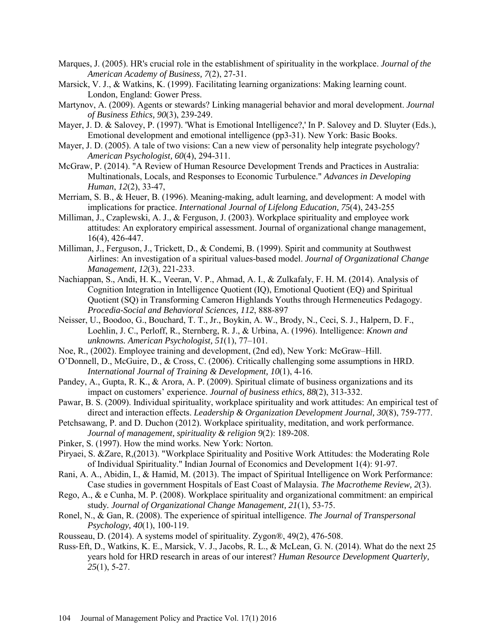- Marques, J. (2005). HR's crucial role in the establishment of spirituality in the workplace. *Journal of the American Academy of Business, 7*(2), 27-31.
- Marsick, V. J., & Watkins, K. (1999). Facilitating learning organizations: Making learning count. London, England: Gower Press.
- Martynov, A. (2009). Agents or stewards? Linking managerial behavior and moral development. *Journal of Business Ethics, 90*(3), 239-249.
- Mayer, J. D. & Salovey, P. (1997). 'What is Emotional Intelligence?,' In P. Salovey and D. Sluyter (Eds.), Emotional development and emotional intelligence (pp3-31). New York: Basic Books.
- Mayer, J. D. (2005). A tale of two visions: Can a new view of personality help integrate psychology? *American Psychologist, 60*(4), 294-311.
- McGraw, P. (2014). "A Review of Human Resource Development Trends and Practices in Australia: Multinationals, Locals, and Responses to Economic Turbulence." *Advances in Developing Human*, *12*(2), 33-47,
- Merriam, S. B., & Heuer, B. (1996). Meaning-making, adult learning, and development: A model with implications for practice. *International Journal of Lifelong Education, 75*(4), 243-255
- Milliman, J., Czaplewski, A. J., & Ferguson, J. (2003). Workplace spirituality and employee work attitudes: An exploratory empirical assessment. Journal of organizational change management, 16(4), 426-447.
- Milliman, J., Ferguson, J., Trickett, D., & Condemi, B. (1999). Spirit and community at Southwest Airlines: An investigation of a spiritual values-based model. *Journal of Organizational Change Management, 12*(3), 221-233.
- Nachiappan, S., Andi, H. K., Veeran, V. P., Ahmad, A. I., & Zulkafaly, F. H. M. (2014). Analysis of Cognition Integration in Intelligence Quotient (IQ), Emotional Quotient (EQ) and Spiritual Quotient (SQ) in Transforming Cameron Highlands Youths through Hermeneutics Pedagogy. *Procedia-Social and Behavioral Sciences, 112*, 888-897
- Neisser, U., Boodoo, G., Bouchard, T. T., Jr., Boykin, A. W., Brody, N., Ceci, S. J., Halpern, D. F., Loehlin, J. C., Perloff, R., Sternberg, R. J., & Urbina, A. (1996). Intelligence: *Known and unknowns. American Psychologist, 51*(1), 77–101.
- Noe, R., (2002). Employee training and development, (2nd ed), New York: McGraw–Hill.
- O'Donnell, D., McGuire, D., & Cross, C. (2006). Critically challenging some assumptions in HRD. *International Journal of Training & Development, 10*(1), 4-16.
- Pandey, A., Gupta, R. K., & Arora, A. P. (2009). Spiritual climate of business organizations and its impact on customers' experience. *Journal of business ethics, 88*(2), 313-332.
- Pawar, B. S. (2009). Individual spirituality, workplace spirituality and work attitudes: An empirical test of direct and interaction effects. *Leadership & Organization Development Journal, 30*(8), 759-777.
- Petchsawang, P. and D. Duchon (2012). Workplace spirituality, meditation, and work performance. *Journal of management, spirituality & religion 9*(2): 189-208.
- Pinker, S. (1997). How the mind works. New York: Norton.
- Piryaei, S. &Zare, R,(2013). "Workplace Spirituality and Positive Work Attitudes: the Moderating Role of Individual Spirituality." Indian Journal of Economics and Development 1(4): 91-97.
- Rani, A. A., Abidin, I., & Hamid, M. (2013). The impact of Spiritual Intelligence on Work Performance: Case studies in government Hospitals of East Coast of Malaysia. *The Macrotheme Review, 2*(3).
- Rego, A., & e Cunha, M. P. (2008). Workplace spirituality and organizational commitment: an empirical study*. Journal of Organizational Change Management, 21*(1), 53-75.
- Ronel, N., & Gan, R. (2008). The experience of spiritual intelligence. *The Journal of Transpersonal Psychology, 40*(1), 100-119.
- Rousseau, D. (2014). A systems model of spirituality. Zygon®, 49(2), 476-508.
- Russ‐Eft, D., Watkins, K. E., Marsick, V. J., Jacobs, R. L., & McLean, G. N. (2014). What do the next 25 years hold for HRD research in areas of our interest? *Human Resource Development Quarterly, 25*(1), 5-27.